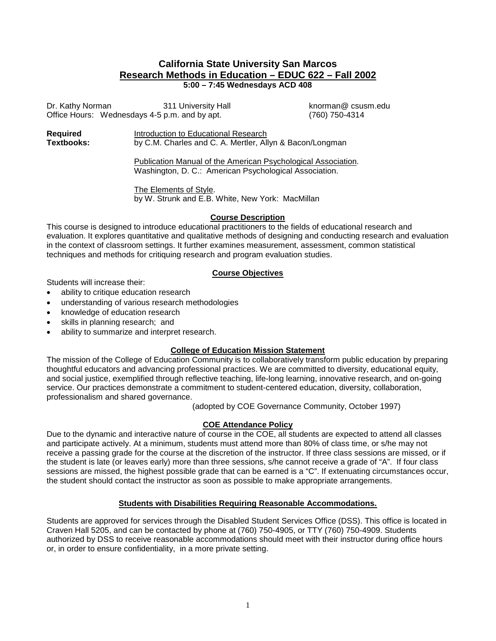# **California State University San Marcos Research Methods in Education – EDUC 622 – Fall 2002**

**5:00 – 7:45 Wednesdays ACD 408**

Dr. Kathy Norman 311 University Hall **Example 20 State 20 Hall controlled and Exam**ple 20 Hall engineer Controlle<br>Office Hours: Wednesdays 4-5 p.m. and by apt. (760) 750-4314 Office Hours: Wednesdays 4-5 p.m. and by apt.

**Required**  Introduction to Educational Research<br> **Textbooks:** by C.M. Charles and C. A. Mertler. All by C.M. Charles and C. A. Mertler, Allyn & Bacon/Longman

> Publication Manual of the American Psychological Association. Washington, D. C.: American Psychological Association.

The Elements of Style. by W. Strunk and E.B. White, New York: MacMillan

## **Course Description**

This course is designed to introduce educational practitioners to the fields of educational research and evaluation. It explores quantitative and qualitative methods of designing and conducting research and evaluation in the context of classroom settings. It further examines measurement, assessment, common statistical techniques and methods for critiquing research and program evaluation studies.

## **Course Objectives**

Students will increase their:

- ability to critique education research
- understanding of various research methodologies
- knowledge of education research
- skills in planning research; and
- ability to summarize and interpret research.

## **College of Education Mission Statement**

The mission of the College of Education Community is to collaboratively transform public education by preparing thoughtful educators and advancing professional practices. We are committed to diversity, educational equity, and social justice, exemplified through reflective teaching, life-long learning, innovative research, and on-going service. Our practices demonstrate a commitment to student-centered education, diversity, collaboration, professionalism and shared governance.

(adopted by COE Governance Community, October 1997)

## **COE Attendance Policy**

Due to the dynamic and interactive nature of course in the COE, all students are expected to attend all classes and participate actively. At a minimum, students must attend more than 80% of class time, or s/he may not receive a passing grade for the course at the discretion of the instructor. If three class sessions are missed, or if the student is late (or leaves early) more than three sessions, s/he cannot receive a grade of "A". If four class sessions are missed, the highest possible grade that can be earned is a "C". If extenuating circumstances occur, the student should contact the instructor as soon as possible to make appropriate arrangements.

#### **Students with Disabilities Requiring Reasonable Accommodations.**

Students are approved for services through the Disabled Student Services Office (DSS). This office is located in Craven Hall 5205, and can be contacted by phone at (760) 750-4905, or TTY (760) 750-4909. Students authorized by DSS to receive reasonable accommodations should meet with their instructor during office hours or, in order to ensure confidentiality, in a more private setting.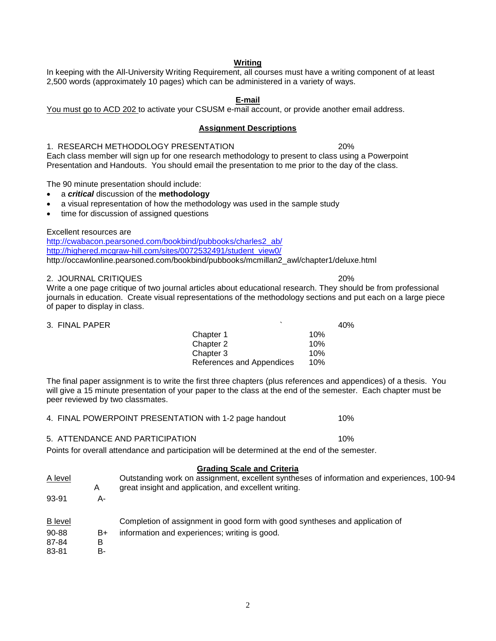## 2,500 words (approximately 10 pages) which can be administered in a variety of ways. **E-mail**

**Writing** In keeping with the All-University Writing Requirement, all courses must have a writing component of at least

You must go to ACD 202 to activate your CSUSM e-mail account, or provide another email address.

#### **Assignment Descriptions**

1. RESEARCH METHODOLOGY PRESENTATION 20%

Each class member will sign up for one research methodology to present to class using a Powerpoint Presentation and Handouts. You should email the presentation to me prior to the day of the class.

The 90 minute presentation should include:

- a *critical* discussion of the **methodology**
- a visual representation of how the methodology was used in the sample study
- time for discussion of assigned questions

Excellent resources are

[http://cwabacon.pearsoned.com/bookbind/pubbooks/charles2\\_ab/](http://cwabacon.pearsoned.com/bookbind/pubbooks/charles2_ab/) [http://highered.mcgraw-hill.com/sites/0072532491/student\\_view0/](http://highered.mcgraw-hill.com/sites/0072532491/student_view0/) http://occawlonline.pearsoned.com/bookbind/pubbooks/mcmillan2\_awl/chapter1/deluxe.html

#### 2. JOURNAL CRITIQUES 20%

Write a one page critique of two journal articles about educational research. They should be from professional journals in education. Create visual representations of the methodology sections and put each on a large piece of paper to display in class.

| 3. FINAL PAPER |                           | 40% |
|----------------|---------------------------|-----|
|                | Chapter 1                 | 10% |
|                | Chapter 2                 | 10% |
|                | Chapter 3                 | 10% |
|                | References and Appendices | 10% |

The final paper assignment is to write the first three chapters (plus references and appendices) of a thesis. You will give a 15 minute presentation of your paper to the class at the end of the semester. Each chapter must be peer reviewed by two classmates.

4. FINAL POWERPOINT PRESENTATION with 1-2 page handout 10%

#### 5. ATTENDANCE AND PARTICIPATION 10%

Points for overall attendance and participation will be determined at the end of the semester.

### **Grading Scale and Criteria**

| A level        | A  | Outstanding work on assignment, excellent syntheses of information and experiences, 100-94<br>great insight and application, and excellent writing. |
|----------------|----|-----------------------------------------------------------------------------------------------------------------------------------------------------|
| 93-91          | А- |                                                                                                                                                     |
| <b>B</b> level |    | Completion of assignment in good form with good syntheses and application of                                                                        |
| 90-88          | B+ | information and experiences; writing is good.                                                                                                       |
| 87-84          | B  |                                                                                                                                                     |
| 83-81          | в- |                                                                                                                                                     |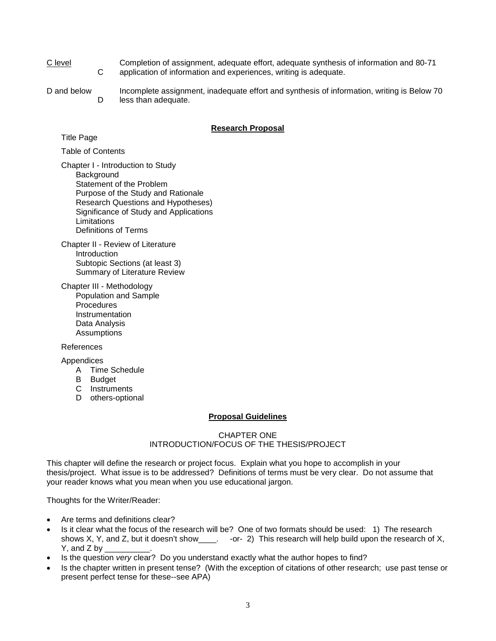- C level Completion of assignment, adequate effort, adequate synthesis of information and 80-71<br>C application of information and experiences, writing is adequate. application of information and experiences, writing is adequate.
- D and below Incomplete assignment, inadequate effort and synthesis of information, writing is Below 70 D less than adequate.

#### **Research Proposal**

Title Page

Table of Contents

Chapter I - Introduction to Study **Background** Statement of the Problem Purpose of the Study and Rationale Research Questions and Hypotheses) Significance of Study and Applications **Limitations** Definitions of Terms

Chapter II - Review of Literature Introduction Subtopic Sections (at least 3) Summary of Literature Review

Chapter III - Methodology Population and Sample **Procedures Instrumentation** Data Analysis **Assumptions** 

#### References

Appendices

- A Time Schedule
- B Budget
- C Instruments
- D others-optional

#### **Proposal Guidelines**

#### CHAPTER ONE INTRODUCTION/FOCUS OF THE THESIS/PROJECT

This chapter will define the research or project focus. Explain what you hope to accomplish in your thesis/project. What issue is to be addressed? Definitions of terms must be very clear. Do not assume that your reader knows what you mean when you use educational jargon.

Thoughts for the Writer/Reader:

- Are terms and definitions clear?
- Is it clear what the focus of the research will be? One of two formats should be used: 1) The research shows X, Y, and Z, but it doesn't show\_\_\_\_. -or- 2) This research will help build upon the research of X, Y, and  $Z$  by  $\_$
- Is the question *very* clear? Do you understand exactly what the author hopes to find?
- Is the chapter written in present tense? (With the exception of citations of other research; use past tense or present perfect tense for these--see APA)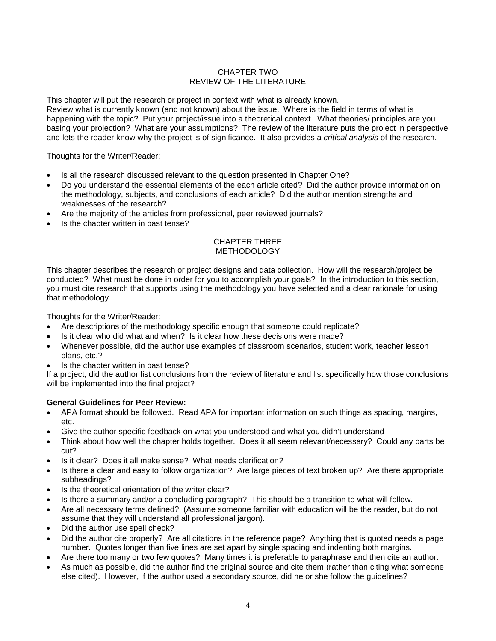### CHAPTER TWO REVIEW OF THE LITERATURE

This chapter will put the research or project in context with what is already known. Review what is currently known (and not known) about the issue. Where is the field in terms of what is happening with the topic? Put your project/issue into a theoretical context. What theories/ principles are you basing your projection? What are your assumptions? The review of the literature puts the project in perspective and lets the reader know why the project is of significance. It also provides a *critical analysis* of the research.

Thoughts for the Writer/Reader:

- Is all the research discussed relevant to the question presented in Chapter One?
- Do you understand the essential elements of the each article cited? Did the author provide information on the methodology, subjects, and conclusions of each article? Did the author mention strengths and weaknesses of the research?
- Are the majority of the articles from professional, peer reviewed journals?
- Is the chapter written in past tense?

#### CHAPTER THREE METHODOLOGY

This chapter describes the research or project designs and data collection. How will the research/project be conducted? What must be done in order for you to accomplish your goals? In the introduction to this section, you must cite research that supports using the methodology you have selected and a clear rationale for using that methodology.

Thoughts for the Writer/Reader:

- Are descriptions of the methodology specific enough that someone could replicate?
- Is it clear who did what and when? Is it clear how these decisions were made?
- Whenever possible, did the author use examples of classroom scenarios, student work, teacher lesson plans, etc.?
- Is the chapter written in past tense?

If a project, did the author list conclusions from the review of literature and list specifically how those conclusions will be implemented into the final project?

#### **General Guidelines for Peer Review:**

- APA format should be followed. Read APA for important information on such things as spacing, margins, etc.
- Give the author specific feedback on what you understood and what you didn't understand
- Think about how well the chapter holds together. Does it all seem relevant/necessary? Could any parts be cut?
- Is it clear? Does it all make sense? What needs clarification?
- Is there a clear and easy to follow organization? Are large pieces of text broken up? Are there appropriate subheadings?
- Is the theoretical orientation of the writer clear?
- Is there a summary and/or a concluding paragraph? This should be a transition to what will follow.
- Are all necessary terms defined? (Assume someone familiar with education will be the reader, but do not assume that they will understand all professional jargon).
- Did the author use spell check?
- Did the author cite properly? Are all citations in the reference page? Anything that is quoted needs a page number. Quotes longer than five lines are set apart by single spacing and indenting both margins.
- Are there too many or two few quotes? Many times it is preferable to paraphrase and then cite an author.
- As much as possible, did the author find the original source and cite them (rather than citing what someone else cited). However, if the author used a secondary source, did he or she follow the guidelines?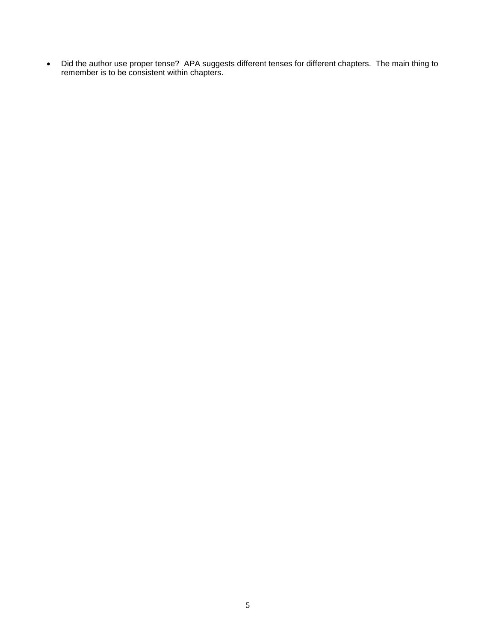• Did the author use proper tense? APA suggests different tenses for different chapters. The main thing to remember is to be consistent within chapters.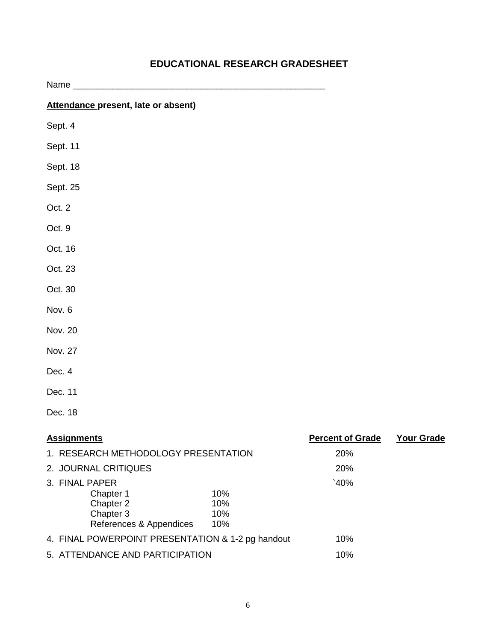| Name_                                                    |            |                         |                   |
|----------------------------------------------------------|------------|-------------------------|-------------------|
| Attendance present, late or absent)                      |            |                         |                   |
| Sept. 4                                                  |            |                         |                   |
| Sept. 11                                                 |            |                         |                   |
| Sept. 18                                                 |            |                         |                   |
| Sept. 25                                                 |            |                         |                   |
| Oct. 2                                                   |            |                         |                   |
| Oct. 9                                                   |            |                         |                   |
| Oct. 16                                                  |            |                         |                   |
| Oct. 23                                                  |            |                         |                   |
| Oct. 30                                                  |            |                         |                   |
| Nov. 6                                                   |            |                         |                   |
| Nov. 20                                                  |            |                         |                   |
| Nov. 27                                                  |            |                         |                   |
| Dec. 4                                                   |            |                         |                   |
| Dec. 11                                                  |            |                         |                   |
| Dec. 18                                                  |            |                         |                   |
| <b>Assignments</b>                                       |            | <b>Percent of Grade</b> | <b>Your Grade</b> |
| 1. RESEARCH METHODOLOGY PRESENTATION                     |            | 20%                     |                   |
| 2. JOURNAL CRITIQUES                                     |            | 20%                     |                   |
| 3. FINAL PAPER                                           |            | `40%                    |                   |
| Chapter 1<br>Chapter 2                                   | 10%<br>10% |                         |                   |
| Chapter 3                                                | 10%        |                         |                   |
| References & Appendices                                  | 10%        |                         |                   |
| 4. FINAL POWERPOINT PRESENTATION & 1-2 pg handout<br>10% |            |                         |                   |
| 5. ATTENDANCE AND PARTICIPATION                          |            | 10%                     |                   |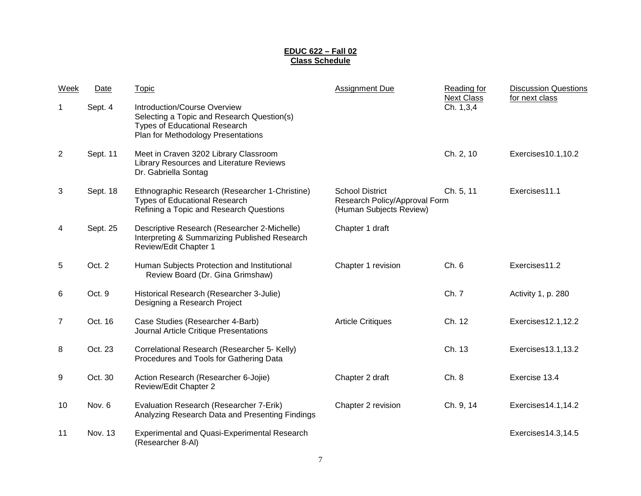#### **EDUC 622 – Fall 02 Class Schedule**

| Week           | Date     | <b>Topic</b>                                                                                                                                             | Assignment Due                                                                     | Reading for<br><b>Next Class</b> | <b>Discussion Questions</b><br>for next class |
|----------------|----------|----------------------------------------------------------------------------------------------------------------------------------------------------------|------------------------------------------------------------------------------------|----------------------------------|-----------------------------------------------|
| 1              | Sept. 4  | Introduction/Course Overview<br>Selecting a Topic and Research Question(s)<br><b>Types of Educational Research</b><br>Plan for Methodology Presentations |                                                                                    | Ch. 1,3,4                        |                                               |
| 2              | Sept. 11 | Meet in Craven 3202 Library Classroom<br>Library Resources and Literature Reviews<br>Dr. Gabriella Sontag                                                |                                                                                    | Ch. 2, 10                        | Exercises10.1,10.2                            |
| 3              | Sept. 18 | Ethnographic Research (Researcher 1-Christine)<br><b>Types of Educational Research</b><br>Refining a Topic and Research Questions                        | <b>School District</b><br>Research Policy/Approval Form<br>(Human Subjects Review) | Ch. 5, 11                        | Exercises11.1                                 |
| 4              | Sept. 25 | Descriptive Research (Researcher 2-Michelle)<br>Interpreting & Summarizing Published Research<br>Review/Edit Chapter 1                                   | Chapter 1 draft                                                                    |                                  |                                               |
| 5              | Oct. 2   | Human Subjects Protection and Institutional<br>Review Board (Dr. Gina Grimshaw)                                                                          | Chapter 1 revision                                                                 | Ch. 6                            | Exercises11.2                                 |
| 6              | Oct. 9   | Historical Research (Researcher 3-Julie)<br>Designing a Research Project                                                                                 |                                                                                    | Ch. 7                            | Activity 1, p. 280                            |
| $\overline{7}$ | Oct. 16  | Case Studies (Researcher 4-Barb)<br>Journal Article Critique Presentations                                                                               | <b>Article Critiques</b>                                                           | Ch. 12                           | Exercises12.1,12.2                            |
| 8              | Oct. 23  | Correlational Research (Researcher 5- Kelly)<br>Procedures and Tools for Gathering Data                                                                  |                                                                                    | Ch. 13                           | Exercises13.1,13.2                            |
| 9              | Oct. 30  | Action Research (Researcher 6-Jojie)<br>Review/Edit Chapter 2                                                                                            | Chapter 2 draft                                                                    | Ch. 8                            | Exercise 13.4                                 |
| 10             | Nov. 6   | Evaluation Research (Researcher 7-Erik)<br>Analyzing Research Data and Presenting Findings                                                               | Chapter 2 revision                                                                 | Ch. 9, 14                        | Exercises14.1,14.2                            |
| 11             | Nov. 13  | <b>Experimental and Quasi-Experimental Research</b><br>(Researcher 8-Al)                                                                                 |                                                                                    |                                  | Exercises14.3,14.5                            |